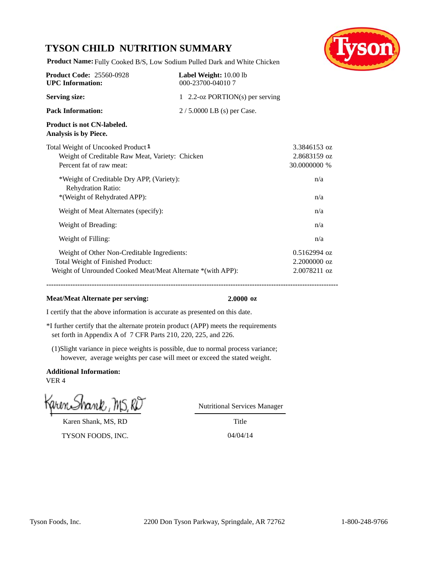## **TYSON CHILD NUTRITION SUMMARY**



**Product Name:** Fully Cooked B/S, Low Sodium Pulled Dark and White Chicken

| <b>Product Code: 25560-0928</b><br><b>UPC</b> Information:                                                                                      | Label Weight: 10.00 lb<br>000-23700-040107 |                                                |
|-------------------------------------------------------------------------------------------------------------------------------------------------|--------------------------------------------|------------------------------------------------|
| <b>Serving size:</b>                                                                                                                            | 1 2.2-oz PORTION(s) per serving            |                                                |
| <b>Pack Information:</b>                                                                                                                        | $2/5.0000$ LB (s) per Case.                |                                                |
| Product is not CN-labeled.<br>Analysis is by Piece.                                                                                             |                                            |                                                |
| Total Weight of Uncooked Product <sup>1</sup><br>Weight of Creditable Raw Meat, Variety: Chicken<br>Percent fat of raw meat:                    |                                            | 3.3846153 oz<br>2.8683159 oz<br>30.0000000 %   |
| *Weight of Creditable Dry APP, (Variety):<br>Rehydration Ratio:<br>*(Weight of Rehydrated APP):                                                 |                                            | n/a<br>n/a                                     |
| Weight of Meat Alternates (specify):                                                                                                            |                                            | n/a                                            |
| Weight of Breading:                                                                                                                             |                                            | n/a                                            |
| Weight of Filling:                                                                                                                              |                                            | n/a                                            |
| Weight of Other Non-Creditable Ingredients:<br>Total Weight of Finished Product:<br>Weight of Unrounded Cooked Meat/Meat Alternate *(with APP): |                                            | $0.5162994$ oz<br>2.2000000 oz<br>2.0078211 oz |

### **Meat/Meat Alternate per serving: 2.0000 oz**

I certify that the above information is accurate as presented on this date.

- \*I further certify that the alternate protein product (APP) meets the requirements set forth in Appendix A of 7 CFR Parts 210, 220, 225, and 226.
- (1)Slight variance in piece weights is possible, due to normal process variance; however, average weights per case will meet or exceed the stated weight.

**Additional Information:** VER 4

Karen Shank, MS, RD

TYSON FOODS, INC. 04/04/14

Nutritional Services Manager

Title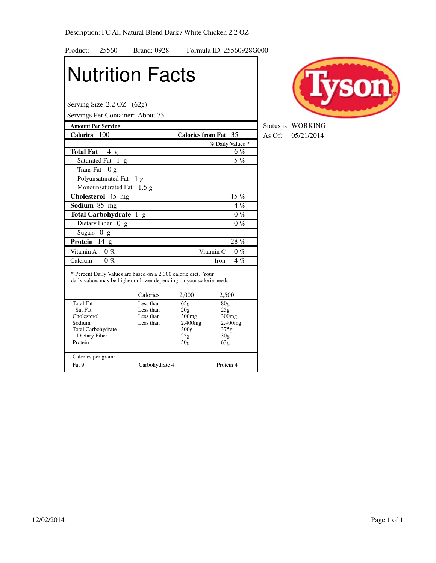| Product:                            | 25560               | <b>Brand: 0928</b>                                                                                                                                 |                             | Formula ID: 25560928G000 |
|-------------------------------------|---------------------|----------------------------------------------------------------------------------------------------------------------------------------------------|-----------------------------|--------------------------|
|                                     |                     | <b>Nutrition Facts</b>                                                                                                                             |                             |                          |
| Serving Size: $2.2$ OZ $(62g)$      |                     | Servings Per Container: About 73                                                                                                                   |                             |                          |
| <b>Amount Per Serving</b>           |                     |                                                                                                                                                    |                             |                          |
| Calories 100                        |                     |                                                                                                                                                    | <b>Calories from Fat</b> 35 |                          |
|                                     |                     |                                                                                                                                                    |                             | % Daily Values *         |
| <b>Total Fat</b>                    | 4g                  |                                                                                                                                                    |                             | 6%                       |
|                                     | Saturated Fat 1 g   |                                                                                                                                                    |                             | 5%                       |
| Trans Fat                           | 0g                  |                                                                                                                                                    |                             |                          |
|                                     | Polyunsaturated Fat | 1 <sub>g</sub>                                                                                                                                     |                             |                          |
|                                     | Monounsaturated Fat | 1.5 g                                                                                                                                              |                             |                          |
| Cholesterol 45 mg                   |                     |                                                                                                                                                    |                             | $15\%$                   |
| Sodium 85 mg                        |                     |                                                                                                                                                    |                             | $4\%$                    |
| Total Carbohydrate 1 g              |                     |                                                                                                                                                    |                             | $0\%$                    |
|                                     | Dietary Fiber 0 g   |                                                                                                                                                    |                             | $0\%$                    |
| <b>Sugars</b>                       | 0<br>g              |                                                                                                                                                    |                             |                          |
| Protein                             | 14 g                |                                                                                                                                                    |                             | 28%                      |
| Vitamin A                           | $0\%$               |                                                                                                                                                    | Vitamin <sub>C</sub>        | $0\%$                    |
| Calcium                             | $0\%$               |                                                                                                                                                    | Iron                        | $4\%$                    |
|                                     |                     | * Percent Daily Values are based on a 2,000 calorie diet. Your<br>daily values may be higher or lower depending on your calorie needs.<br>Calories | 2,000                       | 2,500                    |
| <b>Total Fat</b>                    |                     | Less than                                                                                                                                          | 65g                         | 80 <sub>g</sub>          |
| Sat Fat                             |                     | Less than                                                                                                                                          | 20g                         | 25g                      |
| Cholesterol                         |                     | Less than                                                                                                                                          | 300mg                       | 300mg                    |
| Sodium<br><b>Total Carbohydrate</b> |                     | Less than                                                                                                                                          | $2,400$ mg<br>300g          | 2,400mg<br>375g          |
| Dietary Fiber                       |                     |                                                                                                                                                    | 25g                         | 30 <sub>g</sub>          |
| Protein                             |                     |                                                                                                                                                    | 50 <sub>g</sub>             | 63g                      |
| Calories per gram:                  |                     |                                                                                                                                                    |                             |                          |
| Fat 9                               |                     | Carbohydrate 4                                                                                                                                     |                             | Protein 4                |



**Amount Persons** Status is: WORKING **Calories From Fath 35 As Of:** 05/21/2014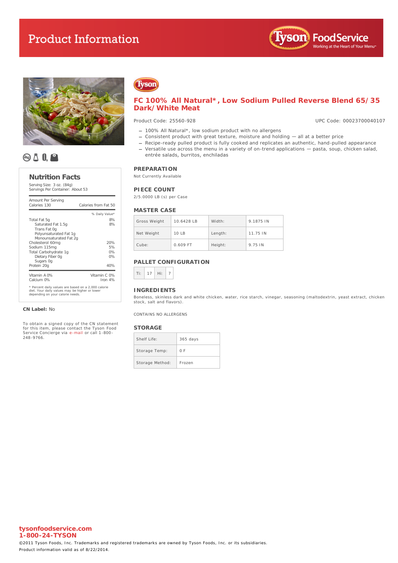# **Product Information**





# **QAIQ**

#### **Nutrition Facts**

Serving Size: 3 oz. (84g) Servings Per Container: About 53

| Amount Per Serving<br>Calories 130                                                                                                        | Calories from Fat 50      |
|-------------------------------------------------------------------------------------------------------------------------------------------|---------------------------|
|                                                                                                                                           | % Daily Value*            |
| Total Fat 5q                                                                                                                              | 8%                        |
| Saturated Fat 1.5g<br>Trans Fat Og<br>Polyunsaturated Fat 1g<br>Monounsaturated Fat 2g                                                    | 8%                        |
| Cholesterol 60mg                                                                                                                          | 20%                       |
| Sodium 115mg                                                                                                                              | 5%                        |
| Total Carbohydrate 1q                                                                                                                     | 0%                        |
| Dietary Fiber Og<br>Sugars Og                                                                                                             | 0%                        |
| Protein 20g                                                                                                                               | 40%                       |
| Vitamin A 0%<br>Calcium 0%                                                                                                                | Vitamin C 0%<br>Iron $4%$ |
| * Percent daily values are based on a 2,000 calorie<br>diet. Your daily values may be higher or lower<br>depending on your calorie needs. |                           |

#### **CN Label:** No

To obtain a signed copy of the CN statement for this item, please contact the Tyson Food Service Concierge via [e-mail](mailto:fscomments@tyson.com) or call 1-800- 248-9766.

# Tyson

### **FC 100% All Natural\*, Low Sodium Pulled Reverse Blend 65/35 Dark/White Meat**

#### Product Code: 25560-928

UPC Code: 00023700040107

- 100% All Natural\*, low sodium product with no allergens
- Consistent product with great texture, moisture and holding all at a better price
- Recipe-ready pulled product is fully cooked and replicates an authentic, hand-pulled appearance Versatile use across the menu in a variety of on-trend applications — pasta, soup, chicken salad,
- entrée salads, burritos, enchiladas

### **PREPARATION**

Not Currently Available

### **PIECE COUNT**

2/5.0000 LB (s) per Case

#### **MASTER CASE**

| Gross Weight | 10.6428 B | Width:  | 9.1875 IN |
|--------------|-----------|---------|-----------|
| Net Weight   | 10 LB     | Length: | 11.75 IN  |
| Cube:        | 0.609 FT  | Height: | 9.75 IN   |

### **PALLET CONFIGURATION**



#### **INGREDIENTS**

Boneless, skinless dark and white chicken, water, rice starch, vinegar, seasoning (maltodextrin, yeast extract, chicken stock, salt and flavors).

CONTAINS NO ALLERGENS

#### **STORAGE**

| Shelf Life:     | $365$ days |
|-----------------|------------|
| Storage Temp:   | $O$ F      |
| Storage Method: | Ernzen     |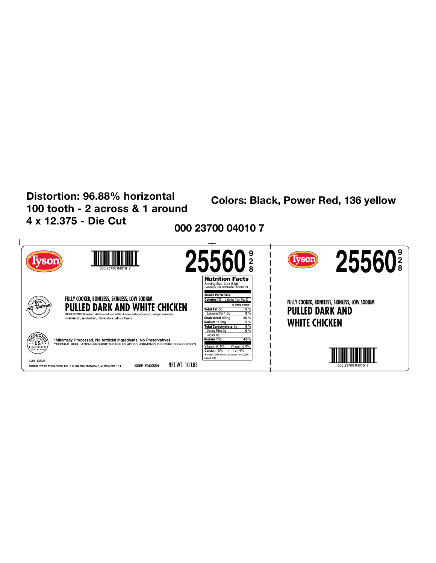# Distortion: 96.88% horizontal 100 tooth - 2 across & 1 around 4 x 12.375 - Die Cut

**Colors: Black, Power Red, 136 yellow** 

000 23700 04010 7

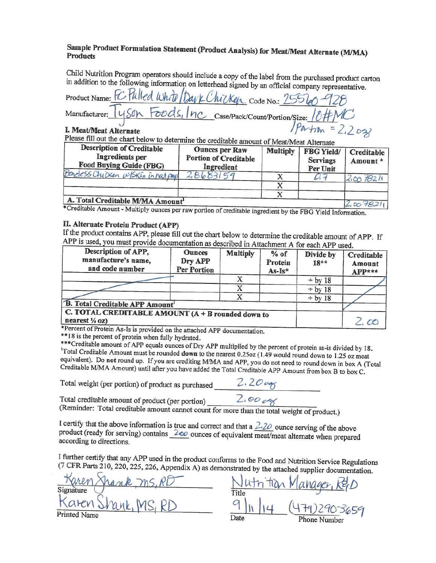

## Sample Product Formulation Statement (Product Analysis) for Meat/Meat Alternate (M/MA) **Products**

Child Nutrition Program operators should include a copy of the label from the purchased product carton in addition to the following information on letterhead signed by an official company representative.

|                                                                                      | Product Name: FC Pulled White Day & Chicken Code No.: 25560-928    |
|--------------------------------------------------------------------------------------|--------------------------------------------------------------------|
|                                                                                      | Manufacturer: 1450n Foods, Inc Case/Pack/Count/Portion/Size: 10#MC |
| I. Meat/Meat Alternate<br>$D0$ $\sim$ $E1$ $\sim$ $\sim$ $\sim$ $\sim$ $\sim$ $\sim$ | $1$ Partion = 2,2023                                               |

Please fill out the chart below to determine the creditable amount of Meat/Meat Alternate

| <b>Description of Creditable</b><br><b>Ingredients</b> per<br>Food Buying Guide (FBG) | <b>Ounces per Raw</b><br><b>Portion of Creditable</b><br>Ingredient | <b>Excellent of Intege</b> Integer Public Hale<br><b>Multiply</b> | <b>FBG Yield/</b><br><b>Servings</b><br>Per Unit | Creditable<br>Amount* |
|---------------------------------------------------------------------------------------|---------------------------------------------------------------------|-------------------------------------------------------------------|--------------------------------------------------|-----------------------|
| Bondess Chycken w/skin in hat prop                                                    | 28683<br>59                                                         |                                                                   |                                                  | 2.007821              |
|                                                                                       |                                                                     |                                                                   |                                                  |                       |
|                                                                                       |                                                                     |                                                                   |                                                  |                       |
| A. Total Creditable M/MA Amount1                                                      |                                                                     |                                                                   |                                                  |                       |

\*Creditable Amount - Multiply ounces per raw portion of creditable ingredient by the FBG Yield Information.

### II. Alternate Protein Product (APP)

If the product contains APP, please fill out the chart below to determine the creditable amount of APP. If APP is used, you must provide documentation as described in Attachment A for each APP used.

| Description of APP,<br>manufacture's name,<br>and code number                  | <b>Ounces</b><br>Dry APP<br>Per Portion | <b>Multiply</b> | $%$ of<br>Protein<br>$As-Is*$ | Divide by<br>$18**$ | Creditable<br>Amount<br>APP*** |
|--------------------------------------------------------------------------------|-----------------------------------------|-----------------|-------------------------------|---------------------|--------------------------------|
|                                                                                |                                         |                 |                               | $\div$ by 18        |                                |
|                                                                                |                                         |                 |                               | $\div$ by 18        |                                |
|                                                                                |                                         |                 |                               | $\div$ by 18        |                                |
| <b>B.</b> Total Creditable APP Amount <sup>1</sup>                             |                                         |                 |                               |                     |                                |
| C. TOTAL CREDITABLE AMOUNT (A + B rounded down to<br>nearest $\frac{1}{4}$ oz) |                                         |                 |                               |                     |                                |

\*Percent of Protein As-Is is provided on the attached APP documentation.

\*\*18 is the percent of protein when fully hydrated.

\*\*\* Creditable amount of APP equals ounces of Dry APP multiplied by the percent of protein as-is divided by 18. Total Creditable Amount must be rounded down to the nearest 0.25oz (1.49 would round down to 1.25 oz meat equivalent). Do not round up. If you are crediting M/MA and APP, you do not need to round down in box A (Total Creditable M/MA Amount) until after you have added the Total Creditable APP Amount from box B to box C.

Total weight (per portion) of product as purchased

 $2.20095$ 

 $2.0000$ 

Total creditable amount of product (per portion)

(Reminder: Total creditable amount cannot count for more than the total weight of product.)

I certify that the above information is true and correct and that a  $\angle 20$  ounce serving of the above product (ready for serving) contains 200 ounces of equivalent meat/meat alternate when prepared according to directions.

I further certify that any APP used in the product conforms to the Food and Nutrition Service Regulations (7 CFR Parts 210, 220, 225, 226, Appendix A) as demonstrated by the attached supplier documentation.

Date